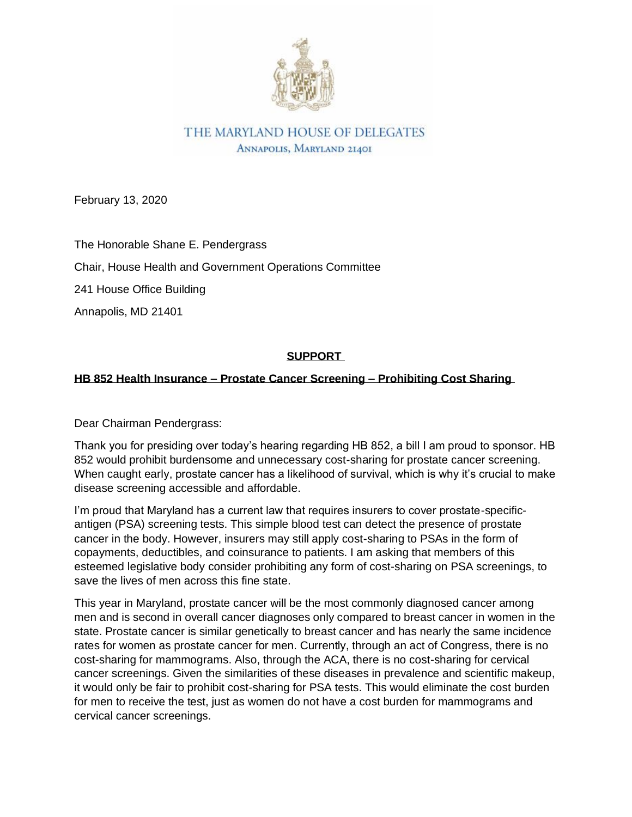

THE MARYLAND HOUSE OF DELEGATES ANNAPOLIS, MARYLAND 21401

February 13, 2020

The Honorable Shane E. Pendergrass

Chair, House Health and Government Operations Committee

241 House Office Building

Annapolis, MD 21401

## **SUPPORT**

## **HB 852 Health Insurance – Prostate Cancer Screening – Prohibiting Cost Sharing**

Dear Chairman Pendergrass:

Thank you for presiding over today's hearing regarding HB 852, a bill I am proud to sponsor. HB 852 would prohibit burdensome and unnecessary cost-sharing for prostate cancer screening. When caught early, prostate cancer has a likelihood of survival, which is why it's crucial to make disease screening accessible and affordable.

I'm proud that Maryland has a current law that requires insurers to cover prostate-specificantigen (PSA) screening tests. This simple blood test can detect the presence of prostate cancer in the body. However, insurers may still apply cost-sharing to PSAs in the form of copayments, deductibles, and coinsurance to patients. I am asking that members of this esteemed legislative body consider prohibiting any form of cost-sharing on PSA screenings, to save the lives of men across this fine state.

This year in Maryland, prostate cancer will be the most commonly diagnosed cancer among men and is second in overall cancer diagnoses only compared to breast cancer in women in the state. Prostate cancer is similar genetically to breast cancer and has nearly the same incidence rates for women as prostate cancer for men. Currently, through an act of Congress, there is no cost-sharing for mammograms. Also, through the ACA, there is no cost-sharing for cervical cancer screenings. Given the similarities of these diseases in prevalence and scientific makeup, it would only be fair to prohibit cost-sharing for PSA tests. This would eliminate the cost burden for men to receive the test, just as women do not have a cost burden for mammograms and cervical cancer screenings.